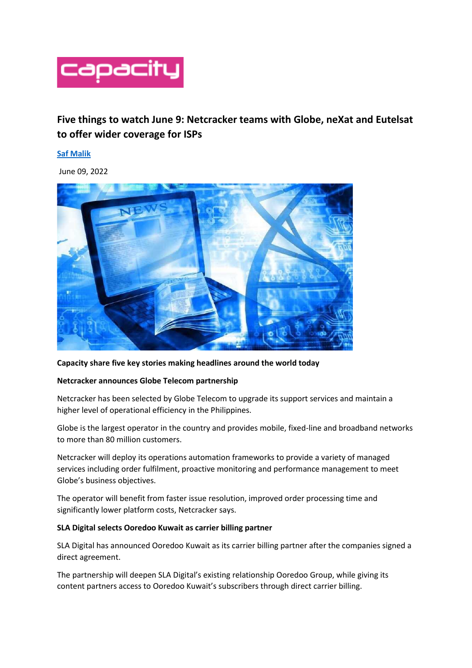

# **Five things to watch June 9: Netcracker teams with Globe, neXat and Eutelsat to offer wider coverage for ISPs**

## **[Saf Malik](https://www.capacitymedia.com/saf-malik)**

June 09, 2022



## **Capacity share five key stories making headlines around the world today**

## **Netcracker announces Globe Telecom partnership**

Netcracker has been selected by Globe Telecom to upgrade its support services and maintain a higher level of operational efficiency in the Philippines.

Globe is the largest operator in the country and provides mobile, fixed-line and broadband networks to more than 80 million customers.

Netcracker will deploy its operations automation frameworks to provide a variety of managed services including order fulfilment, proactive monitoring and performance management to meet Globe's business objectives.

The operator will benefit from faster issue resolution, improved order processing time and significantly lower platform costs, Netcracker says.

## **SLA Digital selects Ooredoo Kuwait as carrier billing partner**

SLA Digital has announced Ooredoo Kuwait as its carrier billing partner after the companies signed a direct agreement.

The partnership will deepen SLA Digital's existing relationship Ooredoo Group, while giving its content partners access to Ooredoo Kuwait's subscribers through direct carrier billing.